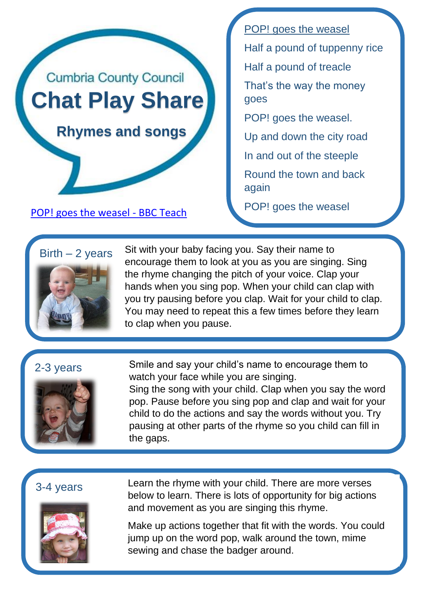

again

POP! goes the weasel Half a pound of tuppenny rice Half a pound of treacle That's the way the money goes POP! goes the weasel. Up and down the city road In and out of the steeple Round the town and back



Sit with your baby facing you. Say their name to encourage them to look at you as you are singing. Sing the rhyme changing the pitch of your voice. Clap your hands when you sing pop. When your child can clap with you try pausing before you clap. Wait for your child to clap. You may need to repeat this a few times before they learn to clap when you pause.

# 2-3 years



Smile and say your child's name to encourage them to watch your face while you are singing.

Sing the song with your child. Clap when you say the word pop. Pause before you sing pop and clap and wait for your child to do the actions and say the words without you. Try pausing at other parts of the rhyme so you child can fill in the gaps.

## 3-4 years



Learn the rhyme with your child. There are more verses below to learn. There is lots of opportunity for big actions and movement as you are singing this rhyme.

Make up actions together that fit with the words. You could jump up on the word pop, walk around the town, mime sewing and chase the badger around.